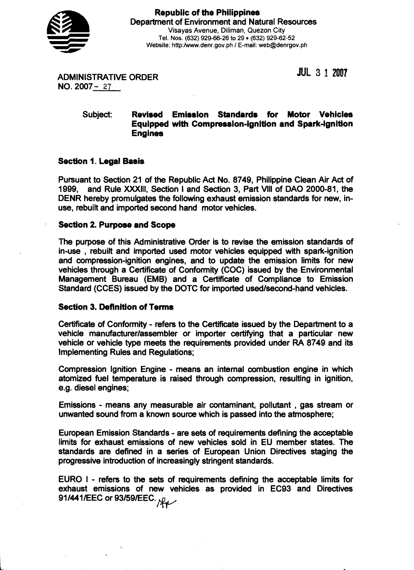

**JUL 3 1 2007** 

ADMINISTRATIVE ORDER NO. 2007- 27

## Subject: **Revised Emission Standards for Motor Vehicles Equipped with Compression-ignition and Spark-lgnltion Engines**

## **Section 1. Legal Basis**

Pursuant to Section 21 of the Republic Act No. 8749, Philippine Clean Air Act of 1999, and Rule XXXIII, Section Iand Section 3, Part Vlll of DAO 2000-81, the DENR hereby promulgates the following exhaust emission standards for new, inuse, rebuilt and imported second hand motor vehicles.

## **Section 2. Purpose and Scope**

The purpose of this Administrative Order is to revise the emission standards of in-use , rebuilt and imported used motor vehicles equipped with spark-ignition and compression-ignition engines, and to update the emission limits for new vehicles through a Certificate of Conformity (COC) issued by the Environmental Management Bureau (EMB) and a Certificate of Compliance to Emission Standard (CCES) issued by the DOTC for imported used/second-hand vehicles.

## **Section 3. Definition of Terms**

Certificate of Conformity - refers to the Certificate issued by the Department to a vehicle manufacturer/assembler or importer certifying that a particular new vehicle or vehicle type meets the requirements provided under RA 8749 and its Implementing Rules and Regulations;

Compression Ignition Engine - means an internal combustion engine in which atomized fuel temperature is raised through compression, resulting in ignition, e.g. diesel engines;

Emissions - means any measurable air contaminant, pollutant , gas stream or unwanted sound from a known source which is passed into the atmosphere;

European Emission Standards - are sets of requirementsdefining the acceptable limits for exhaust emissions of new vehicles sold in EU member states. The standards are defined in a series of European Union Directives staging the progressive introduction of increasinglystringent standards.

EURO I - refers to the sets of requirements defining the acceptable limits for exhaust emissions of new vehicles as provided in EC93 and Directives 91/441/EEC or 93/59/EEC.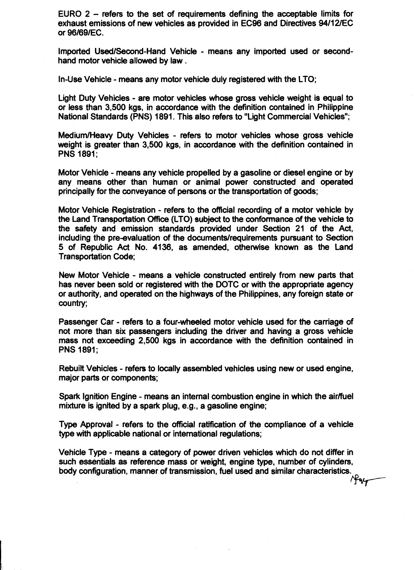EURO 2 - refers to the set **of** requirements defining the acceptable limits for exhaust emissions of new vehicles as provided in EC96 and Directives 94112lEC or 96169lEC.

Imported Used/Second-Hand Vehicle - means any imported used or secondhand motor vehicle allowed by law .

In-Use Vehicle - means any motor vehicle duly registered with the LTO;

Light Duty Vehicles - are motor vehicles whose gross vehicle weight is equal to or less than 3,500 kgs, in accordance with the definition contained in Philippine National Standards (PNS) 1891. This also refers to "Light Commercial Vehicles";

MediumIHeavy Duty Vehicles - refers to motor vehicles whose gross vehicle weight is greater than 3,500 kgs, in accordance with the definition contained in PNS 1891;

Motor Vehicle - means any vehicle propelled by a gasoline or diesel engine or by any means other than human or animal power constructed and operated principally for the conveyance **of** persons or **the**transportation of goods;

Motor Vehicle Registration - refers to the official recording of a motor vehicle by the Land Transportation Office (LTO) subject to the conformance of the vehicle to the safety and emission standards provided under Section 21 of the Act, including the pre-valuation of the documents/requirements pursuant to Sedion 5 of Republic Act No. 4136, as amended, othewise known as the Land Transportation Code;

New Motor Vehicle - means a vehicle constructed entirely from new parts that has never been sold or registered with the DOTC or with the appropriate agency or authority, and operated on the highways of the Philippines, any foreign state or country;

Passenger Car - refers to a four-wheeled motor vehicle used for the carriage of not **more** than six passengers **inchding the driver and having a gross vehicle**  mass not exceeding 2,500 kgs in accordance with the definition contained in PNS 1891;

Rebuilt Vehicles - refers to locally assembled vehicles using new or used engine, major parts or components;

Spark Ignition Engine - means an internal combustion engine in which the air/fuel mixture is ignited by a spark plug, e.g., a gasoline engine;

Type Approval - refers to the Official ratification of the compliance of a vehicle type with applicable national or international regulations;

Vehicle Type - means a category of power driven vehicles which do not differ in such essentials as reference mass or weight, engine type, number of cylinders, body configuration, manner of transmission, fuel used and similar characteristics.  $+4w$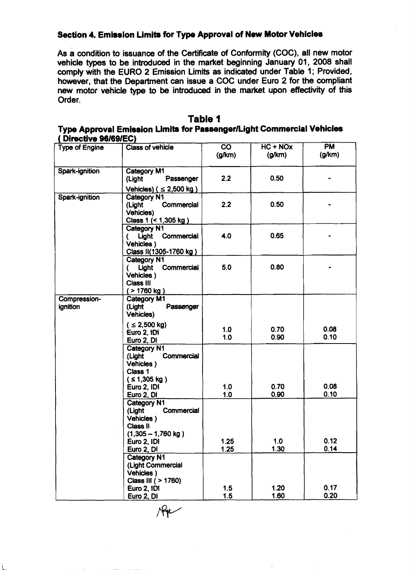# **Section 4. Emission Limits for Type Approval of New Motor Vehicles**

As a condition to issuance of the Certificate of Conformity (COC), all new motor vehicle **types** to be introduced in the market beginning January 01, 2008 shall comply with the EURO 2 Emission Limits as indicated under Table 1; Provided, however, that the Department can issue a COC under Euro 2 for the compliant new motor vehicle type to **be** introduced in **the** market upon effedivlty of this Order.

| Table 1                                                               |  |  |  |  |
|-----------------------------------------------------------------------|--|--|--|--|
| Type Approval Emission Limits for Passenger/Light Commercial Vehicles |  |  |  |  |
| (Directive 96/69/EC)                                                  |  |  |  |  |

| <b>PHOVATO PULVULLY</b><br><b>Type of Engine</b> | <b>Class of vehicle</b>                    | $\overline{co}$ | $HC + NOx$  | <b>PM</b>    |
|--------------------------------------------------|--------------------------------------------|-----------------|-------------|--------------|
|                                                  |                                            | (g/km)          | (g/km)      | (g/km)       |
| <b>Spark-ignition</b>                            | Category M1                                |                 |             |              |
|                                                  | Passenger<br>(Light                        | 2.2             | 0.50        |              |
|                                                  | Vehicles) ( $\leq$ 2,500 kg)               |                 |             |              |
| Spark-ignition                                   | Category N1                                |                 |             |              |
|                                                  | Commercial<br>(Light                       | 2.2             | 0.50        |              |
|                                                  | <b>Vehicles)</b>                           |                 |             |              |
|                                                  | Class 1 (< 1,305 kg)                       |                 |             |              |
|                                                  | Category N1<br>( Light Commercial          | 4.0             | 0.65        |              |
|                                                  | Vehicles)                                  |                 |             |              |
|                                                  | Class II(1305-1760 kg)                     |                 |             |              |
|                                                  | Category N1                                |                 |             |              |
|                                                  | ( Light Commercial                         | 5.0             | 0.80        |              |
|                                                  | Vehicles)<br>Class III                     |                 |             |              |
|                                                  | ( > 1760 kg )                              |                 |             |              |
| Compression-                                     | Category M1                                |                 |             |              |
| ignition                                         | (Light<br>Passenger                        |                 |             |              |
|                                                  | <b>Vehicles)</b>                           |                 |             |              |
|                                                  | $( \leq 2,500 \text{ kg})$                 | 1.0             | 0.70        | 0.08         |
|                                                  | Euro 2, 1D1                                | 1.0             | 0.90        | 0.10         |
|                                                  | Euro 2, DI                                 |                 |             |              |
|                                                  | <b>Category N1</b><br>Commercial<br>(Light |                 |             |              |
|                                                  | Vehicles)                                  |                 |             |              |
|                                                  | Class 1                                    |                 |             |              |
|                                                  | $(51,305 \text{ kg})$                      |                 |             |              |
|                                                  | Euro 2, IDI                                | 1.0             | 0.70        | 0.08         |
|                                                  | Euro 2, DI<br>Category N1                  | 1.0             | 0.90        | 0.10         |
|                                                  | Commercial<br>(Light                       |                 |             |              |
|                                                  | Vehicles)                                  |                 |             |              |
|                                                  | <b>Class II</b>                            |                 |             |              |
|                                                  | $(1,305 - 1,760$ kg)                       |                 |             |              |
|                                                  | Euro 2. IDI                                | 1.25            | 1.0<br>1.30 | 0.12<br>0.14 |
|                                                  | Euro 2, DI<br><b>Category N1</b>           | 1.25            |             |              |
|                                                  | (Light Commercial                          |                 |             |              |
|                                                  | Vehicles)                                  |                 |             |              |
|                                                  | Class III ( > 1760)                        |                 |             |              |
|                                                  | Euro 2, 1D1                                | 1.5             | 1.20        | 0.17         |
|                                                  | Euro 2, DI                                 | 1.5             | 1.60        | 0.20         |

 $\mathcal{R}_{\bm{\mathcal{V}}}$ 

 $\ddot{\phantom{a}}$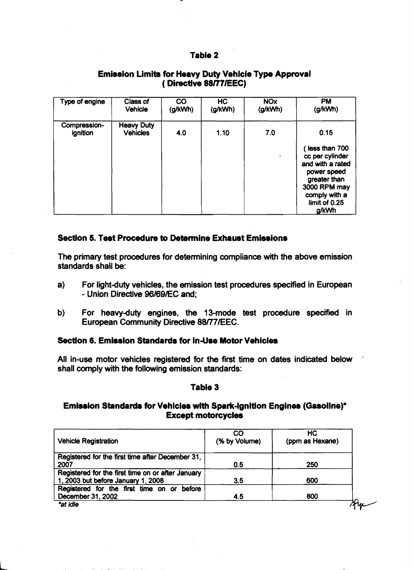## **Table 2**

| Type of engine           | Class of<br>Vehicle                  | CO<br>(g/kWh) | HC<br>(g/kWh) | <b>NO<sub>x</sub></b><br>(g/kWh) | <b>PM</b><br>(g/kWh)                                                                                                                           |
|--------------------------|--------------------------------------|---------------|---------------|----------------------------------|------------------------------------------------------------------------------------------------------------------------------------------------|
| Compression-<br>ignition | <b>Heavy Duty</b><br><b>Vehicles</b> | 4.0           | $-1.10$       | 7.0                              | 0.15                                                                                                                                           |
|                          |                                      |               |               |                                  | less than 700<br>cc per cylinder<br>and with a rated<br>power speed<br>greater than<br>3000 RPM may<br>comply with a<br>limit of 0.25<br>g/kWh |

# **Emission Limits for Heavy Duty Vehicle Type Approval**  ( **Directive 88RllEEC)**

## **Section 6. Test Procedure to Determine Exhaust Emissions**

The primary test procedures for determining compliance with the above emission standards shall be:

- a) For light-duty vehicles, the emission test procedures specified in European - **LJnion Diredive QB/B9/EC and;**
- b) For heavy-duty engines, the 13-mode test procedure specified in European Community Directive**88ff**7lEEC.

## **Section 6. Emission Standards for In-Use Motor Vehicles**

All in-use motor vehicles registered for the first time on dates indicated below shall comply with the following emission standards:

### **Table 3**

## **Emission Standard8 for Vehicles with Spark-Ignition Engines (Gasoline)\* Except motorcycles**

| <b>Vehicle Registration</b>                                                             | CO<br>(% by Volume) | НC<br>(ppm as Hexane) |
|-----------------------------------------------------------------------------------------|---------------------|-----------------------|
| Registered for the first time after December 31,<br>2007                                | 0.5                 | 250                   |
| Registered for the first time on or after January<br>1, 2003 but before January 1, 2008 | 3.5                 | 600                   |
| Registered for the first time on or before<br>December 31, 2002                         | 4.5                 | 800                   |
| "at idle                                                                                |                     |                       |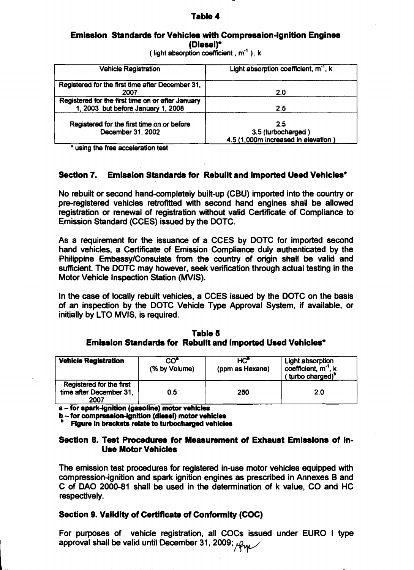### **Table 4**

### **Emission Standards for Vehicles with Compression-Ignition Engines (Diesel)\***

( **light absorptioncoefficient** ,**m-'** ),**<sup>k</sup>**

| <b>Vehicle Registration</b>                                                             | Light absorption coefficient, m <sup>-1</sup> , k                |  |  |
|-----------------------------------------------------------------------------------------|------------------------------------------------------------------|--|--|
| Registered for the first time after December 31,<br>2007                                | 2.0                                                              |  |  |
| Registered for the first time on or after January<br>1, 2003 but before January 1, 2008 | 2.5                                                              |  |  |
| Registered for the first time on or before<br>December 31, 2002                         | 2.5<br>3.5 (turbocharged)<br>4.5 (1,000m increased in elevation) |  |  |

**using the free acceleration test** 

## **Section 7. Emission Standardsfor Rebuiltand Imported Used Vehicles\***

No rebuilt or second hand-completely built-up (CBU) imported into the country or pre-registered vehicles retrofitted with second hand engines shall be allowed registration or renewal of registration without valid Certificate of Compliance to Emission Standard (CCES) issued by the DOTC.

As a requirement for the issuance of a CCES by DOTC for imported second hand vehicles, a Certificate of Emission Compliance duly authenticated by the Philippine Emhssy/Consutate from **the country of** origin shdl **be vatid d**  sufficient. The DOTC may however, seek verification through actual testing in the Motor Vehicle Inspection Station (MVIS).

In the case of locally rebuilt vehicles, a CCES issued by the DOTC on the basis of an inspection by the DOTC Vehicle Type Approval System, if available, or initially by LTO MVIS, is required.

#### **Table 5 Emission Standards for Rebuilt and imported Used Vehicles\***

| <b>Vehicle Registration</b>                                 | CO"<br>(% by Volume) | HC"<br>(ppm as Hexane) | Light absorption<br>coefficient, m <sup>-1</sup> , k<br>(turbo charged) <sup>p</sup> |
|-------------------------------------------------------------|----------------------|------------------------|--------------------------------------------------------------------------------------|
| Registered for the first<br>time after December 31,<br>2007 | 0.5                  | 250                    | 2.0                                                                                  |

**a**-for spark-ignition (gasoline) motor vehicles

**b** - for compression-ignition (diesel) motor vehicles

**Figure in brackets relate to turbocharged vehicles** 

## Section 8. Test Procedures for Measurement of Exhaust Emissions of In-**Use Motor Vehicles**

The emission test procedures for registered in-use motor vehicles equipped with compression-ignition and spark ignition engines as prescribed in Annexes B and C of DAO 2000-81 shall be used in the determination of k value, CO and HC respectively.

#### **Section 9. Valldity of Certificata of Conformity (COC)**

For purposes of vehicle registration, all COCs issued under EURO I type approval shall be valid until December 31, 2009; Aw